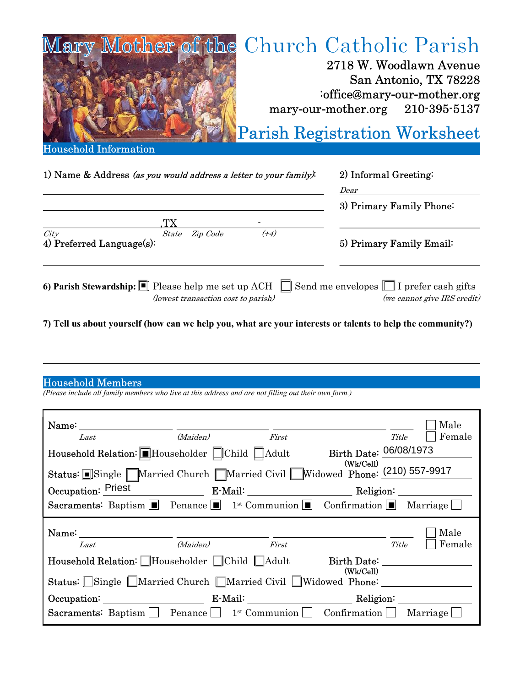

| 1) Name & Address (as you would address a letter to your family).                                                                                                                        | 2) Informal Greeting:       |  |  |
|------------------------------------------------------------------------------------------------------------------------------------------------------------------------------------------|-----------------------------|--|--|
|                                                                                                                                                                                          | Dear                        |  |  |
|                                                                                                                                                                                          | 3) Primary Family Phone:    |  |  |
|                                                                                                                                                                                          |                             |  |  |
| City<br>$(+4)$<br>Zip Code<br>State<br>4) Preferred Language(s):                                                                                                                         | 5) Primary Family Email:    |  |  |
| 6) Parish Stewardship: $\boxed{\blacksquare}$ Please help me set up ACH $\boxed{\square}$ Send me envelopes $\boxed{\square}$ I prefer cash gifts<br>(lowest transaction cost to parish) | (we cannot give IRS credit) |  |  |
| 7) Tell us about yourself (how can we help you, what are your interests or talents to help the community?)                                                                               |                             |  |  |

## Household Members

(Please include all family members who live at this address and are not filling out their own form.)

| Name: Name:<br>Last<br>Household Relation: Householder CChild Adult                                                    | (Maiden) | First<br>Birth Date: 06/08/1973<br>(Wk/Cell) | Male<br>Female<br>Title |
|------------------------------------------------------------------------------------------------------------------------|----------|----------------------------------------------|-------------------------|
| Status: Single Married Church Married Civil Widowed Phone: (210) 557-9917                                              |          |                                              |                         |
| Occupation: Priest E-Mail: Religion: Religion:                                                                         |          |                                              |                         |
| <b>Sacraments:</b> Baptism <b>P</b> Penance <b>P</b> 1 <sup>st</sup> Communion <b>P</b> Confirmation <b>P</b> Marriage |          |                                              |                         |
|                                                                                                                        |          |                                              |                         |
| Last                                                                                                                   | (Maiden) | First                                        | Male<br>Female<br>Title |
| Household Relation: Householder Child Adult                                                                            |          | Birth Date:                                  |                         |
| Status: Single Married Church Married Civil Widowed Phone:                                                             |          | (Wk/Cell)                                    |                         |
| Occupation: E-Mail: E-Mail: Religion:                                                                                  |          |                                              |                         |